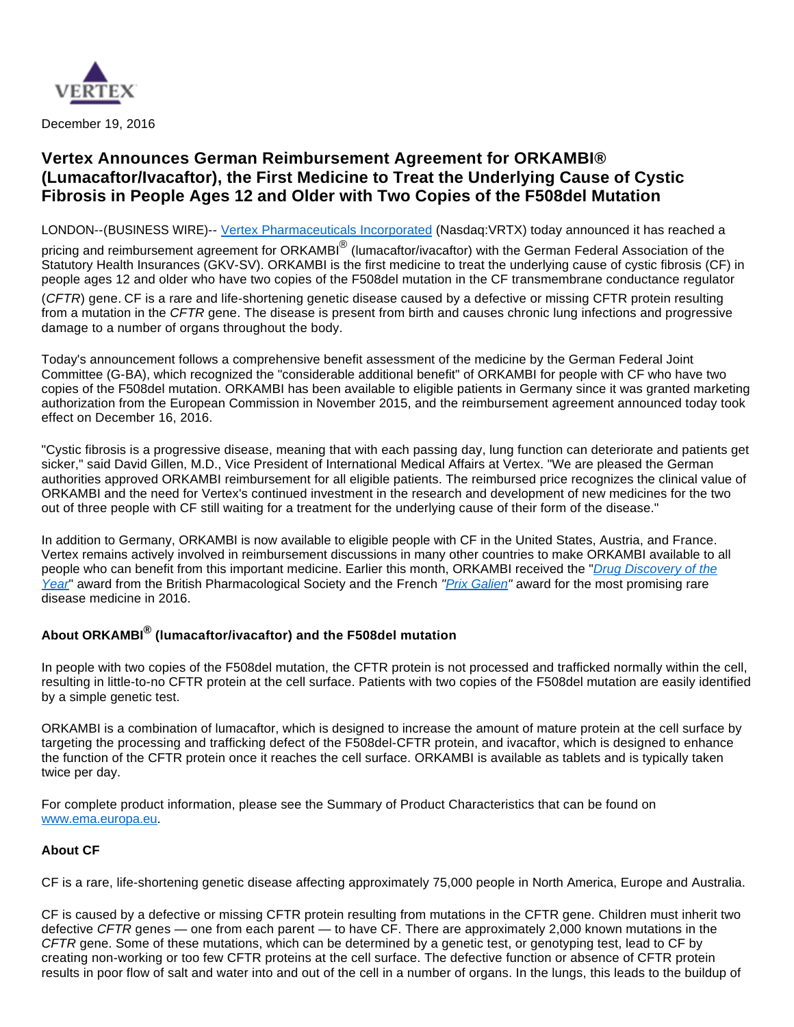

December 19, 2016

# **Vertex Announces German Reimbursement Agreement for ORKAMBI® (Lumacaftor/Ivacaftor), the First Medicine to Treat the Underlying Cause of Cystic Fibrosis in People Ages 12 and Older with Two Copies of the F508del Mutation**

LONDON--(BUSINESS WIRE)-- [Vertex Pharmaceuticals Incorporated](http://cts.businesswire.com/ct/CT?id=smartlink&url=http%3A%2F%2Fwww.vrtx.com&esheet=51480422&newsitemid=20161219005381&lan=en-US&anchor=Vertex+Pharmaceuticals+Incorporated&index=1&md5=b6ec68a72fa8dc9211644de4febe147d) (Nasdaq:VRTX) today announced it has reached a

pricing and reimbursement agreement for ORKAMBI<sup>®</sup> (lumacaftor/ivacaftor) with the German Federal Association of the Statutory Health Insurances (GKV-SV). ORKAMBI is the first medicine to treat the underlying cause of cystic fibrosis (CF) in people ages 12 and older who have two copies of the F508del mutation in the CF transmembrane conductance regulator

(CFTR) gene. CF is a rare and life-shortening genetic disease caused by a defective or missing CFTR protein resulting from a mutation in the CFTR gene. The disease is present from birth and causes chronic lung infections and progressive damage to a number of organs throughout the body.

Today's announcement follows a comprehensive benefit assessment of the medicine by the German Federal Joint Committee (G-BA), which recognized the "considerable additional benefit" of ORKAMBI for people with CF who have two copies of the F508del mutation. ORKAMBI has been available to eligible patients in Germany since it was granted marketing authorization from the European Commission in November 2015, and the reimbursement agreement announced today took effect on December 16, 2016.

"Cystic fibrosis is a progressive disease, meaning that with each passing day, lung function can deteriorate and patients get sicker," said David Gillen, M.D., Vice President of International Medical Affairs at Vertex. "We are pleased the German authorities approved ORKAMBI reimbursement for all eligible patients. The reimbursed price recognizes the clinical value of ORKAMBI and the need for Vertex's continued investment in the research and development of new medicines for the two out of three people with CF still waiting for a treatment for the underlying cause of their form of the disease."

In addition to Germany, ORKAMBI is now available to eligible people with CF in the United States, Austria, and France. Vertex remains actively involved in reimbursement discussions in many other countries to make ORKAMBI available to all people who can benefit from this important medicine. Earlier this month, ORKAMBI received the "*Drug Discovery of the* [Year](http://cts.businesswire.com/ct/CT?id=smartlink&url=https%3A%2F%2Fwww.bps.ac.uk%2Fnews-events%2Fnews%2Fsociety-news%2Farticles%2Fnext-generation-precision-medicine-for-cystic-fi&esheet=51480422&newsitemid=20161219005381&lan=en-US&anchor=Drug+Discovery+of+the+Year&index=2&md5=d696b77a6d394f0cd956265e26e01950)" award from the British Pharmacological Society and the French "[Prix Galien"](http://cts.businesswire.com/ct/CT?id=smartlink&url=http%3A%2F%2Fwww.prixgalien.com%2Fen%2F01%2Fintroduction.htm&esheet=51480422&newsitemid=20161219005381&lan=en-US&anchor=Prix+Galien&index=3&md5=c2b7a571adb144319a7159f9d3d02ffa) award for the most promising rare disease medicine in 2016.

# **About ORKAMBI® (lumacaftor/ivacaftor) and the F508del mutation**

In people with two copies of the F508del mutation, the CFTR protein is not processed and trafficked normally within the cell, resulting in little-to-no CFTR protein at the cell surface. Patients with two copies of the F508del mutation are easily identified by a simple genetic test.

ORKAMBI is a combination of lumacaftor, which is designed to increase the amount of mature protein at the cell surface by targeting the processing and trafficking defect of the F508del-CFTR protein, and ivacaftor, which is designed to enhance the function of the CFTR protein once it reaches the cell surface. ORKAMBI is available as tablets and is typically taken twice per day.

For complete product information, please see the Summary of Product Characteristics that can be found on [www.ema.europa.eu](http://cts.businesswire.com/ct/CT?id=smartlink&url=http%3A%2F%2Fwww.ema.europa.eu&esheet=51480422&newsitemid=20161219005381&lan=en-US&anchor=www.ema.europa.eu&index=4&md5=d8b3978b1ff2945e6a0bcc6bbf1d040b).

# **About CF**

CF is a rare, life-shortening genetic disease affecting approximately 75,000 people in North America, Europe and Australia.

CF is caused by a defective or missing CFTR protein resulting from mutations in the CFTR gene. Children must inherit two defective CFTR genes — one from each parent — to have CF. There are approximately 2,000 known mutations in the CFTR gene. Some of these mutations, which can be determined by a genetic test, or genotyping test, lead to CF by creating non-working or too few CFTR proteins at the cell surface. The defective function or absence of CFTR protein results in poor flow of salt and water into and out of the cell in a number of organs. In the lungs, this leads to the buildup of